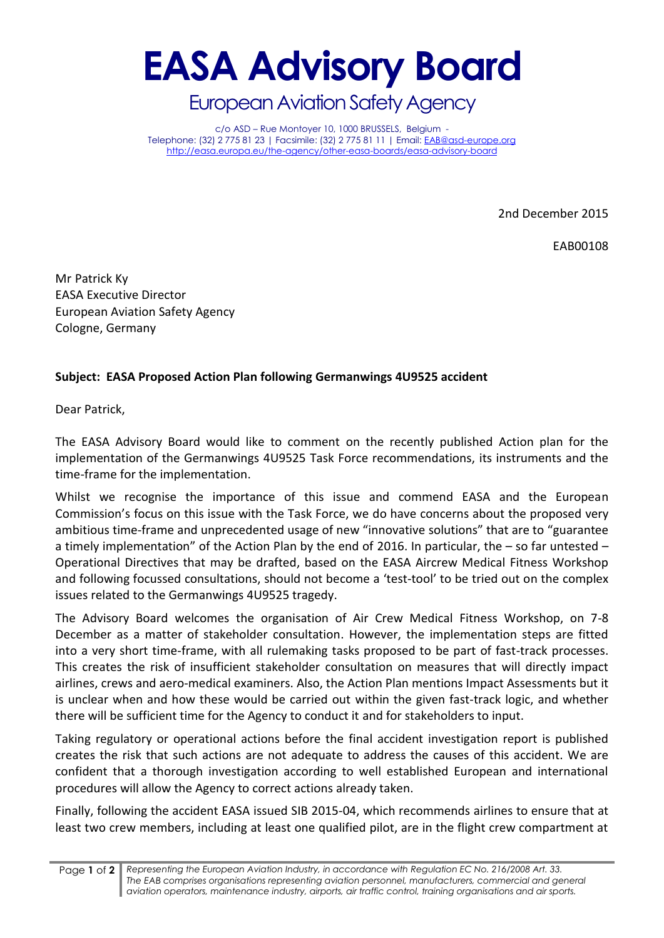## **EASA Advisory Board**

European Aviation Safety Agency

c/o ASD – Rue Montoyer 10, 1000 BRUSSELS, Belgium - Telephone: (32) 2 775 81 23 | Facsimile: (32) 2 775 81 11 | Email[: EAB@asd-europe.org](mailto:EAB@asd-europe.org) <http://easa.europa.eu/the-agency/other-easa-boards/easa-advisory-board>

2nd December 2015

EAB00108

Mr Patrick Ky EASA Executive Director European Aviation Safety Agency Cologne, Germany

## **Subject: EASA Proposed Action Plan following Germanwings 4U9525 accident**

Dear Patrick,

The EASA Advisory Board would like to comment on the recently published Action plan for the implementation of the Germanwings 4U9525 Task Force recommendations, its instruments and the time-frame for the implementation.

Whilst we recognise the importance of this issue and commend EASA and the European Commission's focus on this issue with the Task Force, we do have concerns about the proposed very ambitious time-frame and unprecedented usage of new "innovative solutions" that are to "guarantee a timely implementation" of the Action Plan by the end of 2016. In particular, the – so far untested – Operational Directives that may be drafted, based on the EASA Aircrew Medical Fitness Workshop and following focussed consultations, should not become a 'test-tool' to be tried out on the complex issues related to the Germanwings 4U9525 tragedy.

The Advisory Board welcomes the organisation of Air Crew Medical Fitness Workshop, on 7-8 December as a matter of stakeholder consultation. However, the implementation steps are fitted into a very short time-frame, with all rulemaking tasks proposed to be part of fast-track processes. This creates the risk of insufficient stakeholder consultation on measures that will directly impact airlines, crews and aero-medical examiners. Also, the Action Plan mentions Impact Assessments but it is unclear when and how these would be carried out within the given fast-track logic, and whether there will be sufficient time for the Agency to conduct it and for stakeholders to input.

Taking regulatory or operational actions before the final accident investigation report is published creates the risk that such actions are not adequate to address the causes of this accident. We are confident that a thorough investigation according to well established European and international procedures will allow the Agency to correct actions already taken.

Finally, following the accident EASA issued SIB 2015-04, which recommends airlines to ensure that at least two crew members, including at least one qualified pilot, are in the flight crew compartment at